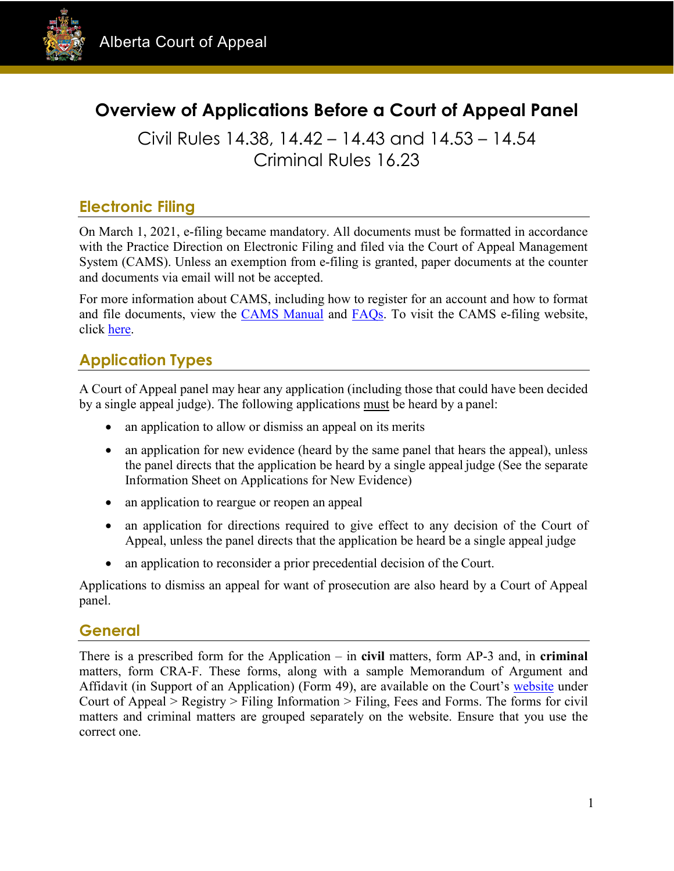

# **Overview of Applications Before a Court of Appeal Panel**

Civil Rules 14.38, 14.42 – 14.43 and 14.53 – 14.54 Criminal Rules 16.23

### **Electronic Filing**

On March 1, 2021, e-filing became mandatory. All documents must be formatted in accordance with the [Practice Direction on Electronic Filing](https://cams.albertacourts.ca/public-portal/files/practiceDirection.pdf) and filed via the Court of Appeal Management System [\(CAMS\)](https://cams.albertacourts.ca/public-portal/). Unless an exemption from e-filing is granted, paper documents at the counter and documents via email will not be accepted.

For more information about CAMS, including how to register for an account and how to format and file documents, view the [CAMS Manual](https://cams.albertacourts.ca/public-portal/files/CAMSManual.pdf) and [FAQs.](https://cams.albertacourts.ca/public-portal/files/FAQS.pdf) To visit the CAMS e-filing website, click [here.](https://cams.albertacourts.ca/public-portal/)

# **Application Types**

A Court of Appeal panel may hear any application (including those that could have been decided by a single appeal judge). The following applications must be heard by a panel:

- an application to allow or dismiss an appeal on its merits
- an application for new evidence (heard by the same panel that hears the appeal), unless the panel directs that the application be heard by a single appeal judge (See the separate Information Sheet on Applications for New Evidence)
- an application to reargue or reopen an appeal
- an application for directions required to give effect to any decision of the Court of Appeal, unless the panel directs that the application be heard be a single appeal judge
- an application to reconsider a prior precedential decision of the Court.

Applications to dismiss an appeal for want of prosecution are also heard by a Court of Appeal panel.

#### **General**

There is a prescribed form for the Application – in **civil** matters, form AP-3 and, in **criminal**  matters, form CRA-F. These forms, along with a sample Memorandum of Argument and Affidavit (in Support of an Application) (Form 49), are available on the Court's [website](https://www.albertacourts.ca/ca/home) under Court of Appeal > Registry > Filing Information > Filing, Fees and Forms. The forms for civil matters and criminal matters are grouped separately on the website. Ensure that you use the correct one.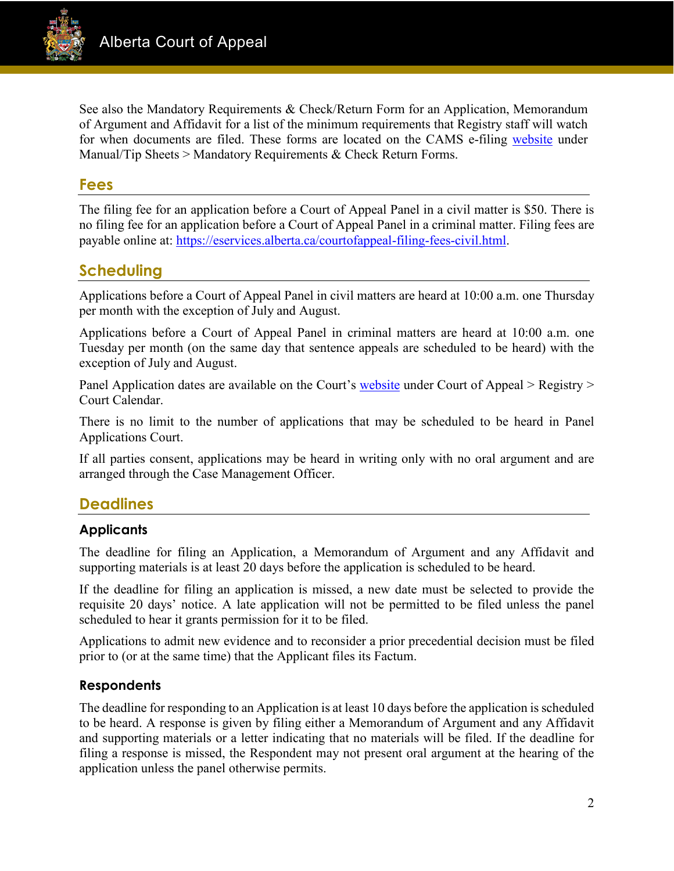

See also the Mandatory Requirements & Check/Return Form for an Application, Memorandum of Argument and Affidavit for a list of the minimum requirements that Registry staff will watch for when documents are filed. These forms are located on the CAMS e-filing [website](https://cams.albertacourts.ca/public-portal/) under Manual/Tip Sheets > Mandatory Requirements & Check Return Forms.

#### **Fees**

The filing fee for an application before a Court of Appeal Panel in a civil matter is \$50. There is no filing fee for an application before a Court of Appeal Panel in a criminal matter. Filing fees are payable online at: [https://eservices.alberta.ca/courtofappeal-filing-fees-civil.html.](https://eservices.alberta.ca/courtofappeal-filing-fees-civil.html)

# **Scheduling**

Applications before a Court of Appeal Panel in civil matters are heard at 10:00 a.m. one Thursday per month with the exception of July and August.

Applications before a Court of Appeal Panel in criminal matters are heard at 10:00 a.m. one Tuesday per month (on the same day that sentence appeals are scheduled to be heard) with the exception of July and August.

Panel Application dates are available on the Court's [website](https://www.albertacourts.ca/ca/home) under Court of Appeal > Registry > Court Calendar.

There is no limit to the number of applications that may be scheduled to be heard in Panel Applications Court.

If all parties consent, applications may be heard in writing only with no oral argument and are arranged through the Case Management Officer.

## **Deadlines**

#### **Applicants**

The deadline for filing an Application, a Memorandum of Argument and any Affidavit and supporting materials is at least 20 days before the application is scheduled to be heard.

If the deadline for filing an application is missed, a new date must be selected to provide the requisite 20 days' notice. A late application will not be permitted to be filed unless the panel scheduled to hear it grants permission for it to be filed.

Applications to admit new evidence and to reconsider a prior precedential decision must be filed prior to (or at the same time) that the Applicant files its Factum.

#### **Respondents**

The deadline for responding to an Application is at least 10 days before the application is scheduled to be heard. A response is given by filing either a Memorandum of Argument and any Affidavit and supporting materials or a letter indicating that no materials will be filed. If the deadline for filing a response is missed, the Respondent may not present oral argument at the hearing of the application unless the panel otherwise permits.